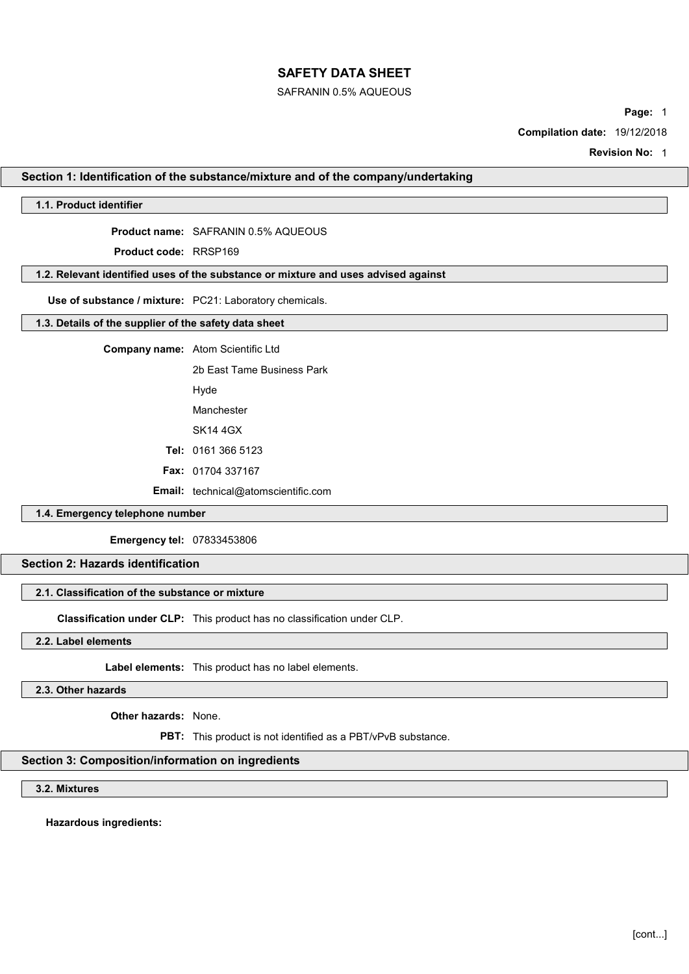### SAFRANIN 0.5% AQUEOUS

Page: 1

Compilation date: 19/12/2018

Revision No: 1

### Section 1: Identification of the substance/mixture and of the company/undertaking

## 1.1. Product identifier

Product name: SAFRANIN 0.5% AQUEOUS

Product code: RRSP169

# 1.2. Relevant identified uses of the substance or mixture and uses advised against

Use of substance / mixture: PC21: Laboratory chemicals.

## 1.3. Details of the supplier of the safety data sheet

Company name: Atom Scientific Ltd

2b East Tame Business Park

Hyde

Manchester

SK14 4GX

Tel: 0161 366 5123

Fax: 01704 337167

Email: technical@atomscientific.com

## 1.4. Emergency telephone number

Emergency tel: 07833453806

# Section 2: Hazards identification

# 2.1. Classification of the substance or mixture

Classification under CLP: This product has no classification under CLP.

2.2. Label elements

Label elements: This product has no label elements.

2.3. Other hazards

Other hazards: None.

PBT: This product is not identified as a PBT/vPvB substance.

## Section 3: Composition/information on ingredients

3.2. Mixtures

Hazardous ingredients: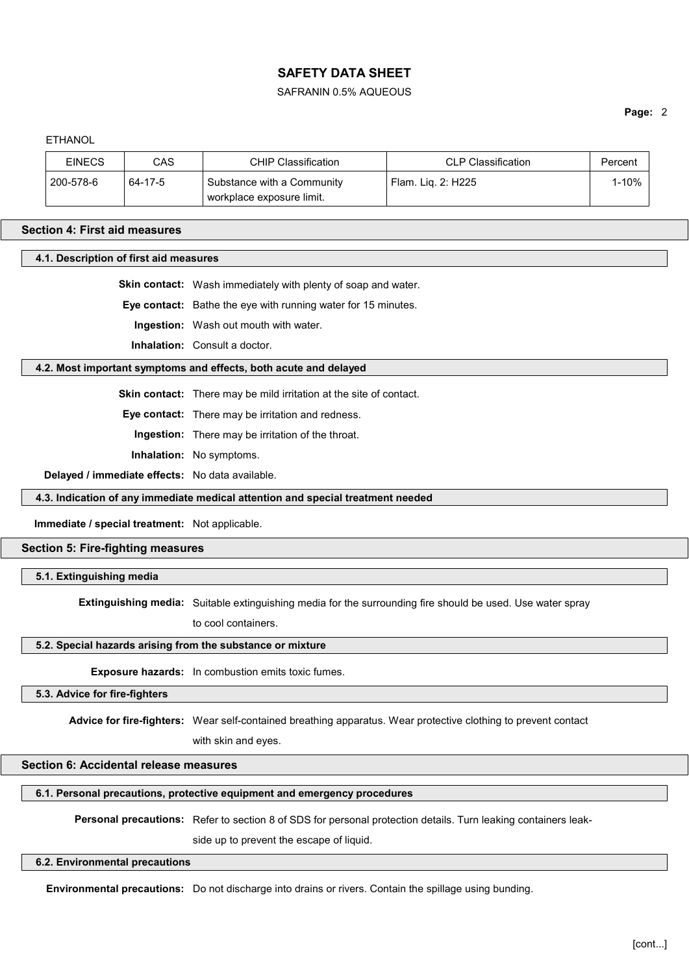### SAFRANIN 0.5% AQUEOUS

### Page: 2

| <b>EINECS</b> | CAS     | CHIP Classification                    | <b>CLP Classification</b> | Percent |
|---------------|---------|----------------------------------------|---------------------------|---------|
| 200-578-6     | 64-17-5 | Substance with a Community             | Flam. Lig. 2: H225        | 1-10%   |
|               |         | <sup>⊢</sup> workplace exposure limit. |                           |         |

#### Section 4: First aid measures

4.1. Description of first aid measures

Skin contact: Wash immediately with plenty of soap and water.

Eye contact: Bathe the eye with running water for 15 minutes.

Ingestion: Wash out mouth with water.

Inhalation: Consult a doctor.

### 4.2. Most important symptoms and effects, both acute and delayed

Skin contact: There may be mild irritation at the site of contact.

Eye contact: There may be irritation and redness.

Ingestion: There may be irritation of the throat.

Inhalation: No symptoms.

Delayed / immediate effects: No data available.

4.3. Indication of any immediate medical attention and special treatment needed

Immediate / special treatment: Not applicable.

## Section 5: Fire-fighting measures

5.1. Extinguishing media

Extinguishing media: Suitable extinguishing media for the surrounding fire should be used. Use water spray

to cool containers.

## 5.2. Special hazards arising from the substance or mixture

Exposure hazards: In combustion emits toxic fumes.

5.3. Advice for fire-fighters

Advice for fire-fighters: Wear self-contained breathing apparatus. Wear protective clothing to prevent contact

with skin and eyes.

## Section 6: Accidental release measures

6.1. Personal precautions, protective equipment and emergency procedures

Personal precautions: Refer to section 8 of SDS for personal protection details. Turn leaking containers leak-

side up to prevent the escape of liquid.

### 6.2. Environmental precautions

Environmental precautions: Do not discharge into drains or rivers. Contain the spillage using bunding.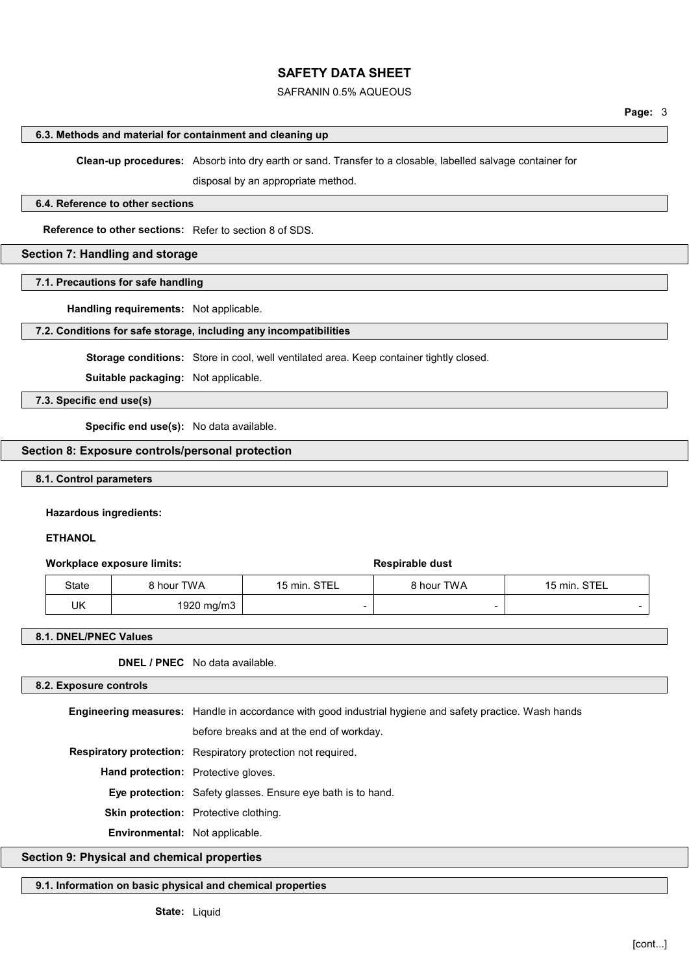## SAFRANIN 0.5% AQUEOUS

#### 6.3. Methods and material for containment and cleaning up

Clean-up procedures: Absorb into dry earth or sand. Transfer to a closable, labelled salvage container for

disposal by an appropriate method.

### 6.4. Reference to other sections

Reference to other sections: Refer to section 8 of SDS.

### Section 7: Handling and storage

7.1. Precautions for safe handling

Handling requirements: Not applicable.

### 7.2. Conditions for safe storage, including any incompatibilities

Storage conditions: Store in cool, well ventilated area. Keep container tightly closed.

Suitable packaging: Not applicable.

7.3. Specific end use(s)

Specific end use(s): No data available.

# Section 8: Exposure controls/personal protection

### 8.1. Control parameters

### Hazardous ingredients:

### **ETHANOL**

### Workplace exposure limits:  $\qquad \qquad$  Respirable dust

| <b>State</b> | hour TWA   | STEL<br>15 min. | ९ hour TWA | 15 min. STEL |
|--------------|------------|-----------------|------------|--------------|
| UK           | 1920 mg/m3 |                 |            |              |

### 8.1. DNEL/PNEC Values

DNEL / PNEC No data available.

#### 8.2. Exposure controls

Engineering measures: Handle in accordance with good industrial hygiene and safety practice. Wash hands

before breaks and at the end of workday.

Respiratory protection: Respiratory protection not required.

Hand protection: Protective gloves.

Eye protection: Safety glasses. Ensure eye bath is to hand.

Skin protection: Protective clothing.

Environmental: Not applicable.

# Section 9: Physical and chemical properties

# 9.1. Information on basic physical and chemical properties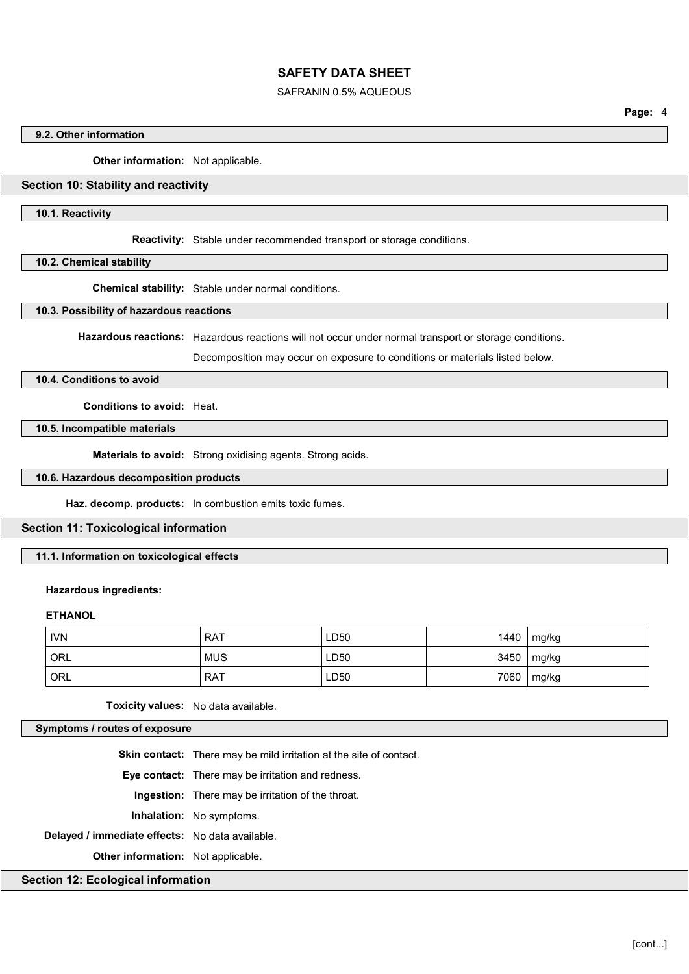## SAFRANIN 0.5% AQUEOUS

### 9.2. Other information

Other information: Not applicable.

## Section 10: Stability and reactivity

### 10.1. Reactivity

Reactivity: Stable under recommended transport or storage conditions.

#### 10.2. Chemical stability

Chemical stability: Stable under normal conditions.

### 10.3. Possibility of hazardous reactions

Hazardous reactions: Hazardous reactions will not occur under normal transport or storage conditions.

Decomposition may occur on exposure to conditions or materials listed below.

## 10.4. Conditions to avoid

Conditions to avoid: Heat.

10.5. Incompatible materials

Materials to avoid: Strong oxidising agents. Strong acids.

## 10.6. Hazardous decomposition products

Haz. decomp. products: In combustion emits toxic fumes.

### Section 11: Toxicological information

## 11.1. Information on toxicological effects

### Hazardous ingredients:

## **ETHANOL**

| <b>IVN</b> | <b>RAT</b> | LD50 | $1440$ | mg/kg          |
|------------|------------|------|--------|----------------|
| ORL        | <b>MUS</b> | LD50 |        | $3450$   mg/kg |
| ORL        | <b>RAT</b> | LD50 | 7060   | mg/kg          |

Toxicity values: No data available.

Symptoms / routes of exposure

Skin contact: There may be mild irritation at the site of contact.

Eye contact: There may be irritation and redness.

Ingestion: There may be irritation of the throat.

Inhalation: No symptoms.

Delayed / immediate effects: No data available.

**Other information:** Not applicable.

### Section 12: Ecological information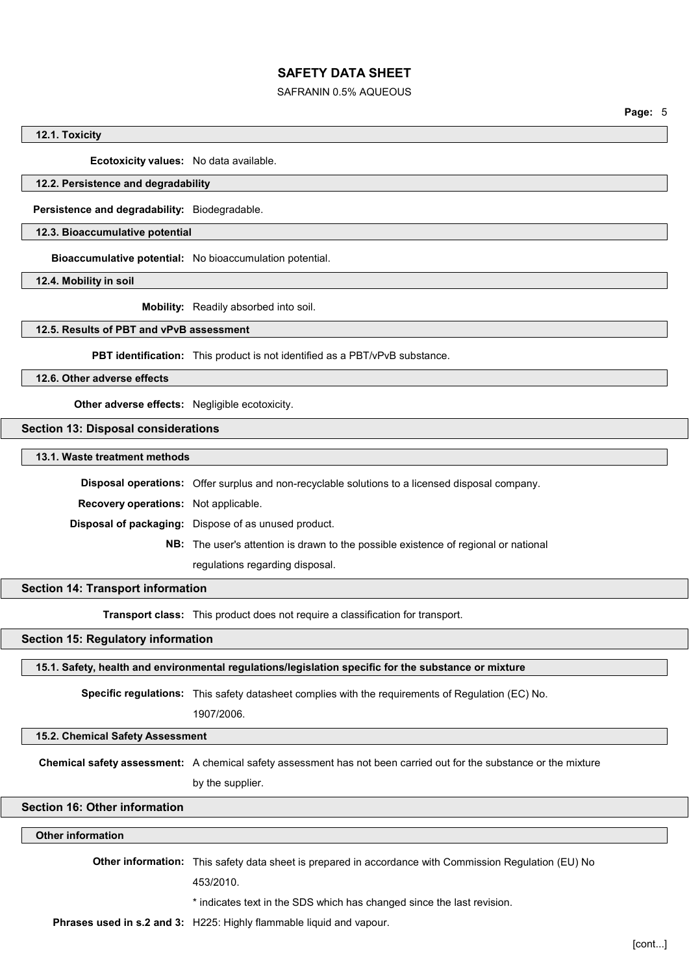### SAFRANIN 0.5% AQUEOUS

Page: 5

#### 12.1. Toxicity

Ecotoxicity values: No data available.

## 12.2. Persistence and degradability

Persistence and degradability: Biodegradable.

## 12.3. Bioaccumulative potential

Bioaccumulative potential: No bioaccumulation potential.

12.4. Mobility in soil

Mobility: Readily absorbed into soil.

## 12.5. Results of PBT and vPvB assessment

PBT identification: This product is not identified as a PBT/vPvB substance.

12.6. Other adverse effects

Other adverse effects: Negligible ecotoxicity.

## Section 13: Disposal considerations

13.1. Waste treatment methods

Disposal operations: Offer surplus and non-recyclable solutions to a licensed disposal company.

Recovery operations: Not applicable.

Disposal of packaging: Dispose of as unused product.

NB: The user's attention is drawn to the possible existence of regional or national regulations regarding disposal.

## Section 14: Transport information

**Transport class:** This product does not require a classification for transport.

# Section 15: Regulatory information

15.1. Safety, health and environmental regulations/legislation specific for the substance or mixture

Specific regulations: This safety datasheet complies with the requirements of Regulation (EC) No.

1907/2006.

### 15.2. Chemical Safety Assessment

Chemical safety assessment: A chemical safety assessment has not been carried out for the substance or the mixture

by the supplier.

## Section 16: Other information

### Other information

Other information: This safety data sheet is prepared in accordance with Commission Regulation (EU) No

453/2010.

\* indicates text in the SDS which has changed since the last revision.

Phrases used in s.2 and 3: H225: Highly flammable liquid and vapour.